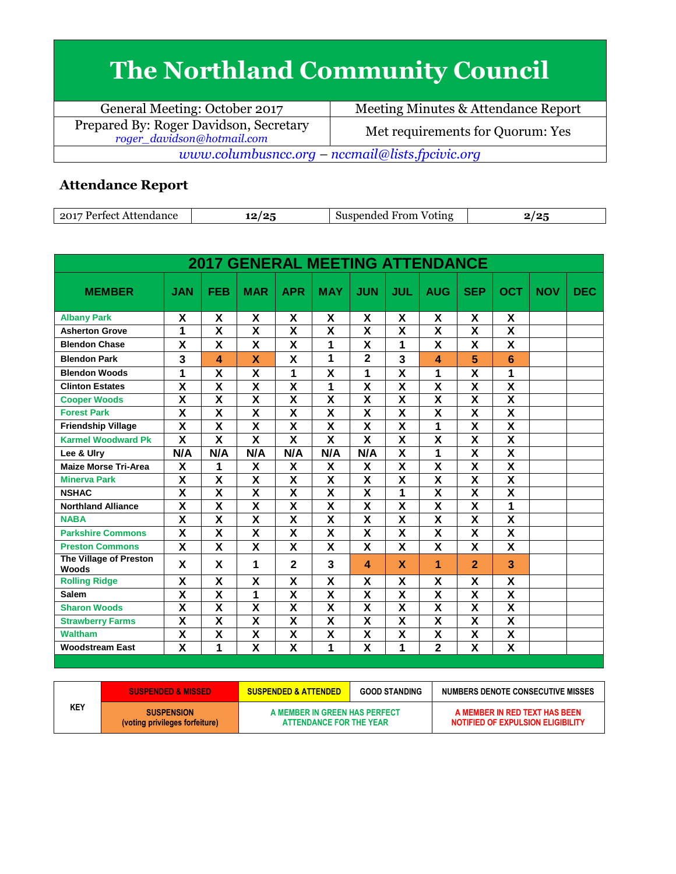## **The Northland Community Council**

| General Meeting: October 2017                                        | Meeting Minutes & Attendance Report |  |  |  |  |
|----------------------------------------------------------------------|-------------------------------------|--|--|--|--|
| Prepared By: Roger Davidson, Secretary<br>roger_davidson@hotmail.com | Met requirements for Quorum: Yes    |  |  |  |  |
| www.columbusncc.org – nccmail@lists.fpcivic.org                      |                                     |  |  |  |  |

## **Attendance Report**

| .201<br>Dortoot<br>Attendance | 1 O<br> | --<br>From<br>Suspended<br>Voting |  |
|-------------------------------|---------|-----------------------------------|--|

| <b>2017 GENERAL MEETING ATTENDANCE</b> |                         |                         |                         |                         |                         |                           |                         |                         |                         |                           |            |            |
|----------------------------------------|-------------------------|-------------------------|-------------------------|-------------------------|-------------------------|---------------------------|-------------------------|-------------------------|-------------------------|---------------------------|------------|------------|
| <b>MEMBER</b>                          | <b>JAN</b>              | <b>FEB</b>              | <b>MAR</b>              | <b>APR</b>              | <b>MAY</b>              | <b>JUN</b>                | JUL                     | <b>AUG</b>              | <b>SEP</b>              | <b>OCT</b>                | <b>NOV</b> | <b>DEC</b> |
| <b>Albany Park</b>                     | X                       | X                       | X                       | X                       | X                       | X                         | X                       | X                       | X                       | X                         |            |            |
| <b>Asherton Grove</b>                  | 1                       | $\overline{\mathsf{x}}$ | $\overline{\mathbf{x}}$ | $\overline{\mathsf{x}}$ | $\overline{\mathbf{x}}$ | $\overline{\mathbf{x}}$   | $\overline{\mathbf{x}}$ | $\overline{\mathbf{x}}$ | $\overline{\mathbf{x}}$ | $\overline{\mathbf{x}}$   |            |            |
| <b>Blendon Chase</b>                   | X                       | X                       | X                       | X                       | 1                       | X                         | 1                       | X                       | X                       | $\mathbf{x}$              |            |            |
| <b>Blendon Park</b>                    | 3                       | $\overline{\mathbf{A}}$ | X                       | X                       | 1                       | $\overline{2}$            | $\overline{\mathbf{3}}$ | 4                       | 5                       | 6                         |            |            |
| <b>Blendon Woods</b>                   | 1                       | $\overline{\mathsf{x}}$ | X                       | 1                       | $\overline{\mathsf{x}}$ | 1                         | $\overline{\mathsf{x}}$ | 1                       | $\overline{\mathsf{x}}$ | 1                         |            |            |
| <b>Clinton Estates</b>                 | $\overline{\textsf{x}}$ | $\overline{\textsf{x}}$ | $\overline{\mathbf{x}}$ | $\overline{\textsf{x}}$ | 1                       | $\overline{\mathsf{x}}$   | $\overline{\mathbf{x}}$ | $\overline{\mathbf{x}}$ | $\overline{\textbf{x}}$ | $\overline{\mathbf{x}}$   |            |            |
| <b>Cooper Woods</b>                    | X                       | $\overline{\mathsf{x}}$ | X                       | $\overline{\mathsf{x}}$ | $\overline{\mathsf{x}}$ | $\overline{\mathbf{x}}$   | $\overline{\mathsf{x}}$ | $\overline{\mathsf{x}}$ | X                       | $\overline{\mathbf{x}}$   |            |            |
| <b>Forest Park</b>                     | $\overline{\mathsf{x}}$ | $\overline{\mathsf{x}}$ | $\overline{\mathsf{x}}$ | $\overline{\mathsf{x}}$ | $\overline{\mathbf{x}}$ | $\overline{\mathbf{x}}$   | $\overline{\mathbf{x}}$ | $\overline{\mathbf{x}}$ | $\overline{\mathbf{x}}$ | $\overline{\mathbf{x}}$   |            |            |
| <b>Friendship Village</b>              | $\overline{\mathsf{x}}$ | X                       | X                       | X                       | X                       | X                         | X                       | 1                       | X                       | $\overline{\mathsf{x}}$   |            |            |
| <b>Karmel Woodward Pk</b>              | $\overline{\textsf{x}}$ | $\overline{\textsf{x}}$ | $\overline{\textsf{x}}$ | $\overline{\mathbf{x}}$ | $\overline{\mathbf{x}}$ | $\overline{\mathbf{X}}$   | $\overline{\mathbf{X}}$ | $\overline{\mathsf{x}}$ | $\overline{\mathsf{x}}$ | $\overline{\mathbf{X}}$   |            |            |
| Lee & Ulry                             | N/A                     | N/A                     | N/A                     | N/A                     | N/A                     | N/A                       | $\overline{\mathsf{x}}$ | 1                       | $\overline{\mathbf{x}}$ | $\overline{\mathbf{X}}$   |            |            |
| <b>Maize Morse Tri-Area</b>            | X                       | 1                       | X                       | X                       | X                       | X                         | X                       | X                       | X                       | X                         |            |            |
| <b>Minerva Park</b>                    | $\overline{\mathsf{x}}$ | $\overline{\mathsf{x}}$ | $\overline{\mathsf{x}}$ | $\overline{\mathsf{x}}$ | $\overline{\mathsf{x}}$ | $\overline{\mathsf{x}}$   | $\overline{\mathsf{x}}$ | $\overline{\mathsf{x}}$ | $\overline{\mathsf{x}}$ | $\overline{\mathsf{x}}$   |            |            |
| <b>NSHAC</b>                           | $\overline{\mathsf{x}}$ | $\overline{\mathsf{x}}$ | $\overline{\mathsf{x}}$ | $\overline{\mathbf{X}}$ | $\overline{\mathsf{x}}$ | $\overline{\mathbf{x}}$   | 1                       | $\overline{\mathsf{x}}$ | $\overline{\mathsf{x}}$ | $\overline{\mathsf{x}}$   |            |            |
| <b>Northland Alliance</b>              | X                       | $\overline{\mathsf{x}}$ | X                       | X                       | X                       | $\overline{\mathbf{x}}$   | $\overline{\mathbf{x}}$ | $\overline{\mathbf{x}}$ | $\overline{\mathbf{x}}$ | 1                         |            |            |
| <b>NABA</b>                            | $\overline{\textsf{x}}$ | $\overline{\mathsf{x}}$ | $\overline{\textsf{x}}$ | $\overline{\mathbf{X}}$ | $\overline{\mathsf{x}}$ | $\overline{\mathsf{x}}$   | $\overline{\mathsf{x}}$ | $\overline{\mathsf{x}}$ | $\overline{\mathsf{x}}$ | $\overline{\mathbf{X}}$   |            |            |
| <b>Parkshire Commons</b>               | χ                       | X                       | X                       | X                       | X                       | X                         | X                       | X                       | X                       | $\boldsymbol{\mathsf{X}}$ |            |            |
| <b>Preston Commons</b>                 | X                       | X                       | X                       | X                       | X                       | X                         | X                       | X                       | $\mathbf x$             | X                         |            |            |
| The Village of Preston<br>Woods        | X                       | X                       | 1                       | $\mathbf{2}$            | 3                       | 4                         | X                       | 1                       | $\overline{2}$          | 3                         |            |            |
| <b>Rolling Ridge</b>                   | X                       | X                       | X                       | X                       | X                       | X                         | X                       | χ                       | X                       | X                         |            |            |
| <b>Salem</b>                           | X                       | X                       | 1                       | X                       | X                       | $\overline{\mathsf{x}}$   | X                       | X                       | X                       | X                         |            |            |
| <b>Sharon Woods</b>                    | $\overline{\mathsf{x}}$ | $\overline{\mathsf{x}}$ | $\overline{\mathsf{x}}$ | $\overline{\mathsf{x}}$ | $\overline{\mathsf{x}}$ | $\overline{\mathsf{x}}$   | $\overline{\mathsf{x}}$ | $\overline{\mathsf{x}}$ | $\overline{\mathsf{x}}$ | $\overline{\mathsf{x}}$   |            |            |
| <b>Strawberry Farms</b>                | X                       | X                       | X                       | $\overline{\mathbf{X}}$ | X                       | $\boldsymbol{\mathsf{X}}$ | X                       | X                       | X                       | $\overline{\mathbf{x}}$   |            |            |
| <b>Waltham</b>                         | $\overline{\mathbf{x}}$ | X                       | X                       | X                       | X                       | $\boldsymbol{\mathsf{X}}$ | X                       | X                       | $\overline{\mathsf{x}}$ | X                         |            |            |
| <b>Woodstream East</b>                 | $\overline{\mathsf{x}}$ | 1                       | $\overline{\mathsf{x}}$ | $\overline{\mathsf{x}}$ | 1                       | $\overline{\mathbf{x}}$   | 1                       | $\overline{2}$          | $\overline{\mathsf{x}}$ | $\overline{\mathsf{x}}$   |            |            |

| <b>SUSPENDED &amp; MISSED</b> |                                                     | <b>SUSPENDED &amp; ATTENDED</b>                          | <b>GOOD STANDING</b> | NUMBERS DENOTE CONSECUTIVE MISSES                                  |  |  |
|-------------------------------|-----------------------------------------------------|----------------------------------------------------------|----------------------|--------------------------------------------------------------------|--|--|
| KEY                           | <b>SUSPENSION</b><br>(voting privileges forfeiture) | A MEMBER IN GREEN HAS PERFECT<br>ATTENDANCE FOR THE YEAR |                      | A MEMBER IN RED TEXT HAS BEEN<br>NOTIFIED OF EXPULSION ELIGIBILITY |  |  |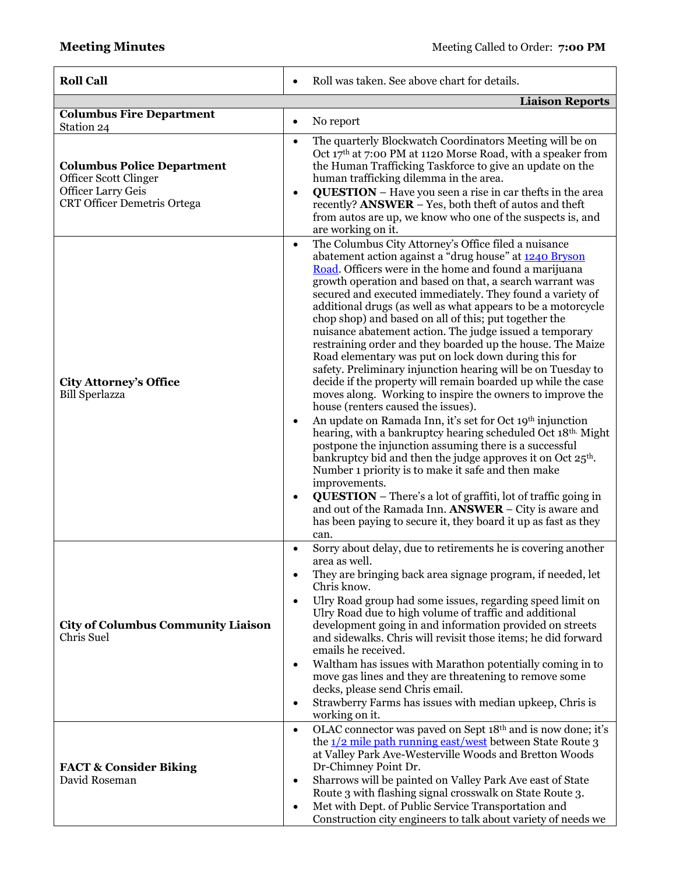| <b>Roll Call</b>                                                                                                              | Roll was taken. See above chart for details.<br>$\bullet$                                                                                                                                                                                                                                                                                                                                                                                                                                                                                                                                                                                                                                                                                                                                                                                                                                                                                                                                                                                                                                                                                                                                                                                                                                                                                                                                                                                |
|-------------------------------------------------------------------------------------------------------------------------------|------------------------------------------------------------------------------------------------------------------------------------------------------------------------------------------------------------------------------------------------------------------------------------------------------------------------------------------------------------------------------------------------------------------------------------------------------------------------------------------------------------------------------------------------------------------------------------------------------------------------------------------------------------------------------------------------------------------------------------------------------------------------------------------------------------------------------------------------------------------------------------------------------------------------------------------------------------------------------------------------------------------------------------------------------------------------------------------------------------------------------------------------------------------------------------------------------------------------------------------------------------------------------------------------------------------------------------------------------------------------------------------------------------------------------------------|
|                                                                                                                               | <b>Liaison Reports</b>                                                                                                                                                                                                                                                                                                                                                                                                                                                                                                                                                                                                                                                                                                                                                                                                                                                                                                                                                                                                                                                                                                                                                                                                                                                                                                                                                                                                                   |
| <b>Columbus Fire Department</b><br>Station 24                                                                                 | No report<br>$\bullet$                                                                                                                                                                                                                                                                                                                                                                                                                                                                                                                                                                                                                                                                                                                                                                                                                                                                                                                                                                                                                                                                                                                                                                                                                                                                                                                                                                                                                   |
| <b>Columbus Police Department</b><br>Officer Scott Clinger<br><b>Officer Larry Geis</b><br><b>CRT Officer Demetris Ortega</b> | The quarterly Blockwatch Coordinators Meeting will be on<br>$\bullet$<br>Oct $17th$ at 7:00 PM at 1120 Morse Road, with a speaker from<br>the Human Trafficking Taskforce to give an update on the<br>human trafficking dilemma in the area.<br><b>QUESTION</b> – Have you seen a rise in car thefts in the area<br>$\bullet$<br>recently? ANSWER - Yes, both theft of autos and theft<br>from autos are up, we know who one of the suspects is, and<br>are working on it.                                                                                                                                                                                                                                                                                                                                                                                                                                                                                                                                                                                                                                                                                                                                                                                                                                                                                                                                                               |
| <b>City Attorney's Office</b><br><b>Bill Sperlazza</b>                                                                        | The Columbus City Attorney's Office filed a nuisance<br>$\bullet$<br>abatement action against a "drug house" at 1240 Bryson<br>Road. Officers were in the home and found a marijuana<br>growth operation and based on that, a search warrant was<br>secured and executed immediately. They found a variety of<br>additional drugs (as well as what appears to be a motorcycle<br>chop shop) and based on all of this; put together the<br>nuisance abatement action. The judge issued a temporary<br>restraining order and they boarded up the house. The Maize<br>Road elementary was put on lock down during this for<br>safety. Preliminary injunction hearing will be on Tuesday to<br>decide if the property will remain boarded up while the case<br>moves along. Working to inspire the owners to improve the<br>house (renters caused the issues).<br>An update on Ramada Inn, it's set for Oct 19th injunction<br>$\bullet$<br>hearing, with a bankruptcy hearing scheduled Oct 18th. Might<br>postpone the injunction assuming there is a successful<br>bankruptcy bid and then the judge approves it on Oct 25 <sup>th</sup> .<br>Number 1 priority is to make it safe and then make<br>improvements.<br><b>QUESTION</b> – There's a lot of graffiti, lot of traffic going in<br>$\bullet$<br>and out of the Ramada Inn. ANSWER – City is aware and<br>has been paying to secure it, they board it up as fast as they<br>can. |
| <b>City of Columbus Community Liaison</b><br>Chris Suel                                                                       | Sorry about delay, due to retirements he is covering another<br>$\bullet$<br>area as well.<br>They are bringing back area signage program, if needed, let<br>٠<br>Chris know.<br>Ulry Road group had some issues, regarding speed limit on<br>$\bullet$<br>Ulry Road due to high volume of traffic and additional<br>development going in and information provided on streets<br>and sidewalks. Chris will revisit those items; he did forward<br>emails he received.<br>Waltham has issues with Marathon potentially coming in to<br>$\bullet$<br>move gas lines and they are threatening to remove some<br>decks, please send Chris email.<br>Strawberry Farms has issues with median upkeep, Chris is<br>working on it.                                                                                                                                                                                                                                                                                                                                                                                                                                                                                                                                                                                                                                                                                                               |
| <b>FACT &amp; Consider Biking</b><br>David Roseman                                                                            | OLAC connector was paved on Sept 18th and is now done; it's<br>$\bullet$<br>the $1/2$ mile path running east/west between State Route 3<br>at Valley Park Ave-Westerville Woods and Bretton Woods<br>Dr-Chimney Point Dr.<br>Sharrows will be painted on Valley Park Ave east of State<br>٠<br>Route 3 with flashing signal crosswalk on State Route 3.<br>Met with Dept. of Public Service Transportation and<br>$\bullet$<br>Construction city engineers to talk about variety of needs we                                                                                                                                                                                                                                                                                                                                                                                                                                                                                                                                                                                                                                                                                                                                                                                                                                                                                                                                             |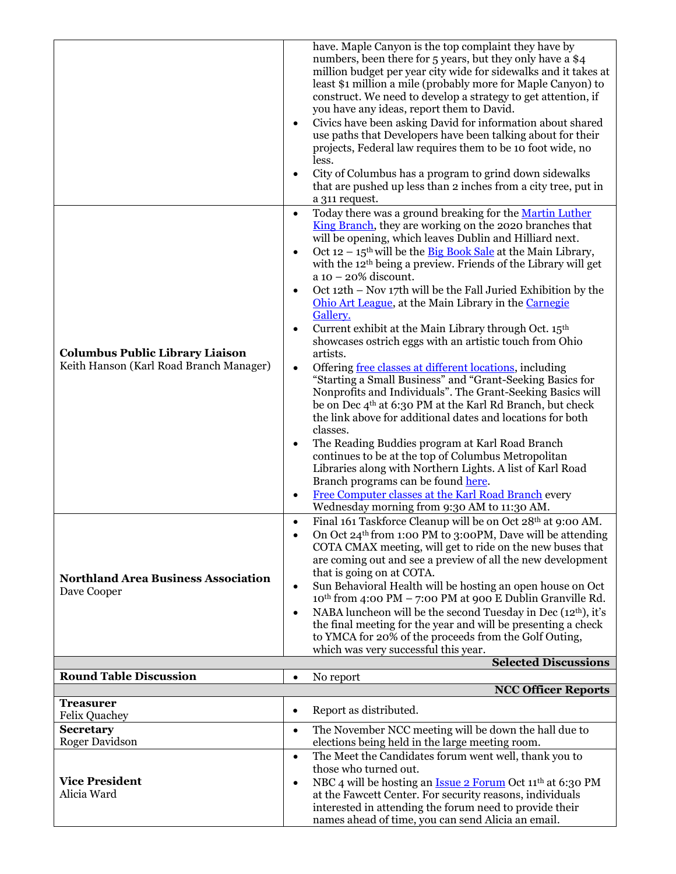|                                            | have. Maple Canyon is the top complaint they have by                                                                              |
|--------------------------------------------|-----------------------------------------------------------------------------------------------------------------------------------|
|                                            | numbers, been there for 5 years, but they only have a \$4                                                                         |
|                                            | million budget per year city wide for sidewalks and it takes at                                                                   |
|                                            | least \$1 million a mile (probably more for Maple Canyon) to                                                                      |
|                                            | construct. We need to develop a strategy to get attention, if                                                                     |
|                                            | you have any ideas, report them to David.                                                                                         |
|                                            | Civics have been asking David for information about shared<br>$\bullet$                                                           |
|                                            | use paths that Developers have been talking about for their                                                                       |
|                                            | projects, Federal law requires them to be 10 foot wide, no                                                                        |
|                                            | less.                                                                                                                             |
|                                            | City of Columbus has a program to grind down sidewalks<br>$\bullet$                                                               |
|                                            | that are pushed up less than 2 inches from a city tree, put in                                                                    |
|                                            | a 311 request.                                                                                                                    |
|                                            | Today there was a ground breaking for the Martin Luther<br>$\bullet$                                                              |
|                                            | King Branch, they are working on the 2020 branches that                                                                           |
|                                            | will be opening, which leaves Dublin and Hilliard next.                                                                           |
|                                            | Oct $12 - 15$ <sup>th</sup> will be the <b>Big Book Sale</b> at the Main Library,<br>$\bullet$                                    |
|                                            | with the 12 <sup>th</sup> being a preview. Friends of the Library will get                                                        |
|                                            | $a$ 10 - 20% discount.                                                                                                            |
|                                            | Oct 12th - Nov 17th will be the Fall Juried Exhibition by the                                                                     |
|                                            | Ohio Art League, at the Main Library in the Carnegie                                                                              |
|                                            | Gallery.                                                                                                                          |
|                                            | Current exhibit at the Main Library through Oct. 15 <sup>th</sup>                                                                 |
|                                            | showcases ostrich eggs with an artistic touch from Ohio                                                                           |
| <b>Columbus Public Library Liaison</b>     | artists.                                                                                                                          |
| Keith Hanson (Karl Road Branch Manager)    |                                                                                                                                   |
|                                            | Offering free classes at different locations, including<br>$\bullet$<br>"Starting a Small Business" and "Grant-Seeking Basics for |
|                                            | Nonprofits and Individuals". The Grant-Seeking Basics will                                                                        |
|                                            | be on Dec 4 <sup>th</sup> at 6:30 PM at the Karl Rd Branch, but check                                                             |
|                                            | the link above for additional dates and locations for both                                                                        |
|                                            | classes.                                                                                                                          |
|                                            | The Reading Buddies program at Karl Road Branch                                                                                   |
|                                            | ٠<br>continues to be at the top of Columbus Metropolitan                                                                          |
|                                            | Libraries along with Northern Lights. A list of Karl Road                                                                         |
|                                            | Branch programs can be found here.                                                                                                |
|                                            | Free Computer classes at the Karl Road Branch every<br>$\bullet$                                                                  |
|                                            | Wednesday morning from 9:30 AM to 11:30 AM.                                                                                       |
|                                            | Final 161 Taskforce Cleanup will be on Oct 28th at 9:00 AM.                                                                       |
|                                            | $\bullet$                                                                                                                         |
|                                            | On Oct 24 <sup>th</sup> from 1:00 PM to 3:00PM, Dave will be attending                                                            |
|                                            | COTA CMAX meeting, will get to ride on the new buses that                                                                         |
|                                            | are coming out and see a preview of all the new development<br>that is going on at COTA.                                          |
| <b>Northland Area Business Association</b> | Sun Behavioral Health will be hosting an open house on Oct<br>$\bullet$                                                           |
| Dave Cooper                                | 10th from 4:00 PM - 7:00 PM at 900 E Dublin Granville Rd.                                                                         |
|                                            | NABA luncheon will be the second Tuesday in Dec (12 <sup>th</sup> ), it's<br>٠                                                    |
|                                            | the final meeting for the year and will be presenting a check                                                                     |
|                                            | to YMCA for 20% of the proceeds from the Golf Outing,                                                                             |
|                                            | which was very successful this year.                                                                                              |
|                                            | <b>Selected Discussions</b>                                                                                                       |
| <b>Round Table Discussion</b>              | No report<br>$\bullet$                                                                                                            |
|                                            | <b>NCC Officer Reports</b>                                                                                                        |
| <b>Treasurer</b>                           |                                                                                                                                   |
| <b>Felix Quachey</b>                       | Report as distributed.<br>٠                                                                                                       |
| <b>Secretary</b>                           | The November NCC meeting will be down the hall due to<br>$\bullet$                                                                |
| <b>Roger Davidson</b>                      | elections being held in the large meeting room.                                                                                   |
|                                            | The Meet the Candidates forum went well, thank you to<br>$\bullet$                                                                |
|                                            |                                                                                                                                   |
|                                            | those who turned out.                                                                                                             |
| <b>Vice President</b>                      | NBC 4 will be hosting an <u>Issue 2 Forum</u> Oct 11 <sup>th</sup> at 6:30 PM<br>$\bullet$                                        |
| Alicia Ward                                | at the Fawcett Center. For security reasons, individuals                                                                          |
|                                            | interested in attending the forum need to provide their                                                                           |